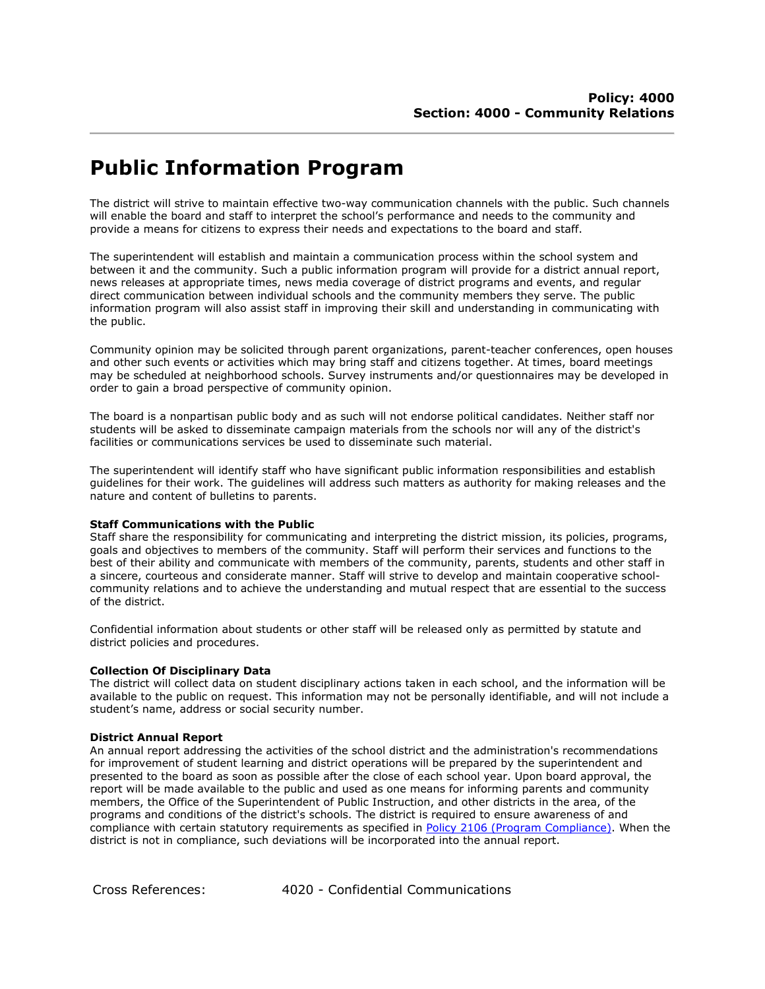## **Public Information Program**

The district will strive to maintain effective two-way communication channels with the public. Such channels will enable the board and staff to interpret the school's performance and needs to the community and provide a means for citizens to express their needs and expectations to the board and staff.

The superintendent will establish and maintain a communication process within the school system and between it and the community. Such a public information program will provide for a district annual report, news releases at appropriate times, news media coverage of district programs and events, and regular direct communication between individual schools and the community members they serve. The public information program will also assist staff in improving their skill and understanding in communicating with the public.

Community opinion may be solicited through parent organizations, parent-teacher conferences, open houses and other such events or activities which may bring staff and citizens together. At times, board meetings may be scheduled at neighborhood schools. Survey instruments and/or questionnaires may be developed in order to gain a broad perspective of community opinion.

The board is a nonpartisan public body and as such will not endorse political candidates. Neither staff nor students will be asked to disseminate campaign materials from the schools nor will any of the district's facilities or communications services be used to disseminate such material.

The superintendent will identify staff who have significant public information responsibilities and establish guidelines for their work. The guidelines will address such matters as authority for making releases and the nature and content of bulletins to parents.

## **Staff Communications with the Public**

Staff share the responsibility for communicating and interpreting the district mission, its policies, programs, goals and objectives to members of the community. Staff will perform their services and functions to the best of their ability and communicate with members of the community, parents, students and other staff in a sincere, courteous and considerate manner. Staff will strive to develop and maintain cooperative schoolcommunity relations and to achieve the understanding and mutual respect that are essential to the success of the district.

Confidential information about students or other staff will be released only as permitted by statute and district policies and procedures.

## **Collection Of Disciplinary Data**

The district will collect data on student disciplinary actions taken in each school, and the information will be available to the public on request. This information may not be personally identifiable, and will not include a student's name, address or social security number.

## **District Annual Report**

An annual report addressing the activities of the school district and the administration's recommendations for improvement of student learning and district operations will be prepared by the superintendent and presented to the board as soon as possible after the close of each school year. Upon board approval, the report will be made available to the public and used as one means for informing parents and community members, the Office of the Superintendent of Public Instruction, and other districts in the area, of the programs and conditions of the district's schools. The district is required to ensure awareness of and compliance with certain statutory requirements as specified in [Policy 2106 \(Program Compliance\).](http://boarddocs.com/wa/wssda/MC.nsf/Index?Open&policyid=8U6P3N61A30A) When the district is not in compliance, such deviations will be incorporated into the annual report.

Cross References: 4020 - Confidential Communications